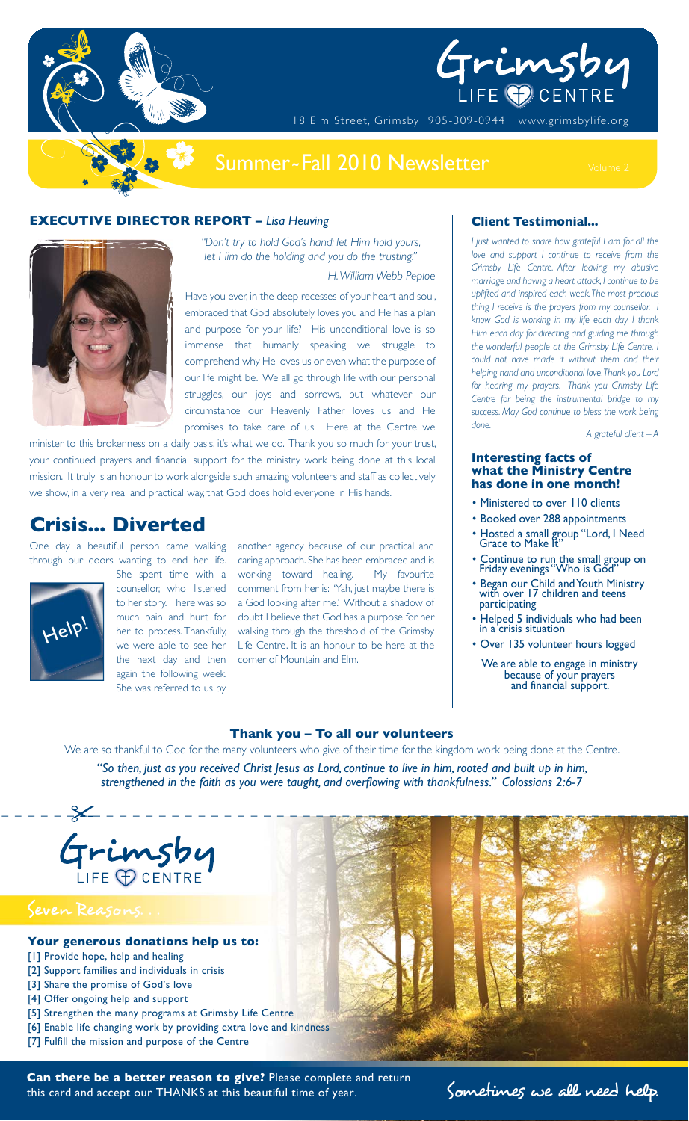

# Grimsby

18 Elm Street, Grimsby 905-309-0944 www.grimsbylife.org

## Summer~Fall 2010 Newsletter

#### **EXECUTIVE DIRECTOR REPORT –** *Lisa Heuving*



*"Don't try to hold God's hand; let Him hold yours, let Him do the holding and you do the trusting."* 

*H. William Webb-Peploe*

Have you ever, in the deep recesses of your heart and soul, embraced that God absolutely loves you and He has a plan and purpose for your life? His unconditional love is so immense that humanly speaking we struggle to comprehend why He loves us or even what the purpose of our life might be. We all go through life with our personal struggles, our joys and sorrows, but whatever our circumstance our Heavenly Father loves us and He promises to take care of us. Here at the Centre we

minister to this brokenness on a daily basis, it's what we do. Thank you so much for your trust, your continued prayers and financial support for the ministry work being done at this local mission. It truly is an honour to work alongside such amazing volunteers and staff as collectively we show, in a very real and practical way, that God does hold everyone in His hands.

## **Crisis... Diverted**

One day a beautiful person came walking through our doors wanting to end her life.



She spent time with a counsellor, who listened to her story. There was so much pain and hurt for her to process. Thankfully, we were able to see her the next day and then again the following week. She was referred to us by

another agency because of our practical and caring approach. She has been embraced and is working toward healing. My favourite comment from her is: 'Yah, just maybe there is a God looking after me.' Without a shadow of doubt I believe that God has a purpose for her walking through the threshold of the Grimsby Life Centre. It is an honour to be here at the corner of Mountain and Elm.

#### **Client Testimonial...**

*I just wanted to share how grateful I am for all the love and support I continue to receive from the Grimsby Life Centre. After leaving my abusive marriage and having a heart attack, I continue to be uplifted and inspired each week. The most precious thing I receive is the prayers from my counsellor. I know God is working in my life each day. I thank Him each day for directing and guiding me through the wonderful people at the Grimsby Life Centre. I could not have made it without them and their helping hand and unconditional love. Thank you Lord for hearing my prayers. Thank you Grimsby Life Centre for being the instrumental bridge to my success. May God continue to bless the work being done.*

*A grateful client – A*

#### **Interesting facts of what the Ministry Centre has done in one month!**

- Ministered to over 110 clients
- Booked over 288 appointments
- Hosted a small group "Lord, I Need Grace to Make It"
- Continue to run the small group on Friday evenings "Who is God"
- Began our Child and Youth Ministry with over 17 children and teens participating
- Helped 5 individuals who had been in a crisis situation
- Over 135 volunteer hours logged

We are able to engage in ministry because of your prayers and financial support.

#### **Thank you – To all our volunteers**

We are so thankful to God for the many volunteers who give of their time for the kingdom work being done at the Centre.

*"So then, just as you received Christ Jesus as Lord, continue to live in him, rooted and built up in him, strengthened in the faith as you were taught, and overflowing with thankfulness." Colossians 2:6-7*



Can there be a better reason to give? Please complete and return<br>this card and accept our THANKS at this beautiful time of year. Sometimes we all need help. this card and accept our THANKS at this beautiful time of year.